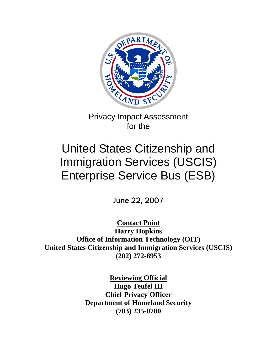

Privacy Impact Assessment for the

# United States Citizenship and Immigration Services (USCIS) Enterprise Service Bus (ESB)

June 22, 2007

**Contact Point Harry Hopkins Office of Information Technology (OIT) United States Citizenship and Immigration Services (USCIS) (202) 272-8953** 

> **Reviewing Official Hugo Teufel III Chief Privacy Officer Department of Homeland Security (703) 235-0780**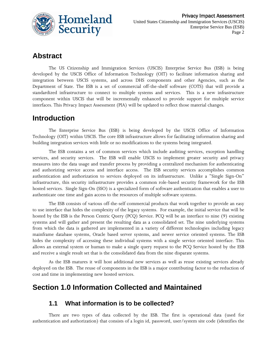

# **Abstract**

The US Citizenship and Immigration Services (USCIS) Enterprise Service Bus (ESB) is being developed by the USCIS Office of Information Technology (OIT) to facilitate information sharing and integration between USCIS systems, and across DHS components and other Agencies, such as the Department of State. The ESB is a set of commercial off-the-shelf software (COTS) that will provide a standardized infrastructure to connect to multiple systems and services. This is a new infrastructure component within USCIS that will be incrementally enhanced to provide support for multiple service interfaces. This Privacy Impact Assessment (PIA) will be updated to reflect those material changes.

# **Introduction**

The Enterprise Service Bus (ESB) is being developed by the USCIS Office of Information Technology (OIT) within USCIS. The core ESB infrastructure allows for facilitating information sharing and building integration services with little or no modifications to the systems being integrated.

The ESB contains a set of common services which include auditing services, exception handling services, and security services. The ESB will enable USCIS to implement greater security and privacy measures into the data usage and transfer process by providing a centralized mechanism for authenticating and authorizing service access and interface access. The ESB security services accomplishes common authentication and authorization to services deployed on its infrastructure. Unlike a "Single Sign-On" infrastructure, this security infrastructure provides a common role-based security framework for the ESB hosted services. Single Sign-On (SSO) is a specialized form of software authentication that enables a user to authenticate one time and gain access to the resources of multiple software systems.

The ESB consists of various off-the-self commercial products that work together to provide an easy to use interface that hides the complexity of the legacy systems. For example, the initial service that will be hosted by the ESB is the Person Centric Query (PCQ) Service. PCQ will be an interface to nine (9) existing systems and will gather and present the resulting data as a consolidated set. The nine underlying systems from which the data is gathered are implemented in a variety of different technologies including legacy mainframe database systems, Oracle based server systems, and newer service oriented systems. The ESB hides the complexity of accessing these individual systems with a single service oriented interface. This allows an external system or human to make a single query request to the PCQ Service hosted by the ESB and receive a single result set that is the consolidated data from the nine disparate systems.

As the ESB matures it will host additional new services as well as reuse existing services already deployed on the ESB. The reuse of components in the ESB is a major contributing factor to the reduction of cost and time in implementing new hosted services.

# **Section 1.0 Information Collected and Maintained**

#### **1.1 What information is to be collected?**

There are two types of data collected by the ESB. The first is operational data (used for authentication and authorization) that consists of a login id, password, user/system site code (identifies the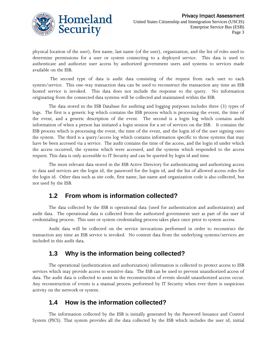

physical location of the user), first name, last name (of the user), organization, and the list of roles used to determine permissions for a user or system connecting to a deployed service. This data is used to authenticate and authorize user access by authorized government users and systems to services made available on the ESB.

 The second type of data is audit data consisting of the request from each user to each system/service. This one-way transaction data can be used to reconstruct the transaction any time an ESB hosted service is invoked. This data does not include the response to the query. No information originating from the connected data systems will be collected and maintained within the ESB.

The data stored in the ESB Database for auditing and logging purposes includes three (3) types of logs. The first is a generic log which contains the ESB process which is processing the event, the time of the event, and a generic description of the event. The second is a login log which contains audit information of when a person has initiated a login session for a set of services on the ESB. It contains the ESB process which is processing the event, the time of the event, and the login id of the user signing onto the system. The third is a query/access log which contains information specific to those systems that may have be been accessed via a service. The audit contains the time of the access, and the login id under which the access occurred, the systems which were accessed, and the systems which responded to the access request. This data is only accessible to IT Security and can be queried by login id and time.

The most relevant data stored in the ESB Active Directory for authenticating and authorizing access to data and services are the login id, the password for the login id, and the list of allowed access roles for the login id. Other data such as site code, first name, last name and organization code is also collected, but not used by the ESB.

## **1.2 From whom is information collected?**

The data collected by the ESB is operational data (used for authentication and authorization) and audit data. The operational data is collected from the authorized government user as part of the user id credentialing process. This user or system credentialing process takes place once prior to system access.

Audit data will be collected on the service invocations performed in order to reconstruct the transaction any time an ESB service is invoked. No content data from the underlying systems/services are included in this audit data.

## **1.3 Why is the information being collected?**

The operational (authentication and authorization) information is collected to protect access to ESB services which may provide access to sensitive data. The ESB can be used to prevent unauthorized access of data. The audit data is collected to assist in the reconstruction of events should unauthorized access occur. Any reconstruction of events is a manual process performed by IT Security when ever there is suspicious activity on the network or system.

## **1.4 How is the information collected?**

The information collected by the ESB is initially generated by the Password Issuance and Control System (PICS). That system provides all the data collected by the ESB which includes the user id, initial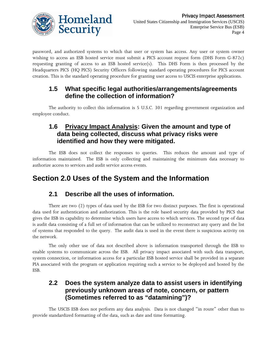

password, and authorized systems to which that user or system has access. Any user or system owner wishing to access an ESB hosted service must submit a PICS account request form (DHS Form G-872c) requesting granting of access to an ESB hosted service(s). This DHS Form is then processed by the Headquarters PICS (HQ PICS) Security Officers following standard operating procedures for PICS account creation. This is the standard operating procedure for granting user access to USCIS enterprise applications.

## **1.5 What specific legal authorities/arrangements/agreements define the collection of information?**

The authority to collect this information is 5 U.S.C. 301 regarding government organization and employee conduct.

## **1.6 Privacy Impact Analysis: Given the amount and type of data being collected, discuss what privacy risks were identified and how they were mitigated.**

The ESB does not collect the responses to queries. This reduces the amount and type of information maintained. The ESB is only collecting and maintaining the minimum data necessary to authorize access to services and audit service access events.

# **Section 2.0 Uses of the System and the Information**

## **2.1 Describe all the uses of information.**

There are two (2) types of data used by the ESB for two distinct purposes. The first is operational data used for authentication and authorization. This is the role based security data provided by PICS that gives the ESB its capability to determine which users have access to which services. The second type of data is audit data consisting of a full set of information that can be utilized to reconstruct any query and the list of systems that responded to the query. The audit data is used in the event there is suspicious activity on the network.

The only other use of data not described above is information transported through the ESB to enable systems to communicate across the ESB. All privacy impact associated with such data transport, system connection, or information access for a particular ESB hosted service shall be provided in a separate PIA associated with the program or application requiring such a service to be deployed and hosted by the ESB.

## **2.2 Does the system analyze data to assist users in identifying previously unknown areas of note, concern, or pattern (Sometimes referred to as "datamining")?**

The USCIS ESB does not perform any data analysis. Data is not changed "in route" other than to provide standardized formatting of the data, such as date and time formatting.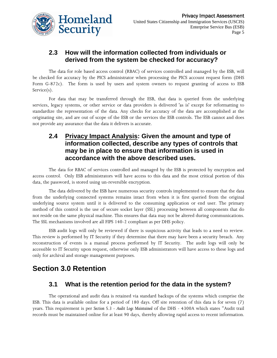

## **2.3 How will the information collected from individuals or derived from the system be checked for accuracy?**

The data for role based access control (RBAC) of services controlled and managed by the ESB, will be checked for accuracy by the PICS administrator when processing the PICS account request form (DHS Form G-872c). The form is used by users and system owners to request granting of access to ESB Service(s).

For data that may be transferred through the ESB, that data is queried from the underlying services, legacy systems, or other service or data providers is delivered 'as is' except for reformatting to standardize the representation of the data. Any checks for accuracy of the data are accomplished at the originating site, and are out of scope of the ESB or the services the ESB controls. The ESB cannot and does not provide any assurance that the data it delivers is accurate.

## **2.4 Privacy Impact Analysis: Given the amount and type of information collected, describe any types of controls that may be in place to ensure that information is used in accordance with the above described uses.**

The data for RBAC of services controlled and managed by the ESB is protected by encryption and access control. Only ESB administrators will have access to this data and the most critical portion of this data, the password, is stored using un-reversible encryption.

The data delivered by the ESB have numerous security controls implemented to ensure that the data from the underlying connected systems remains intact from when it is first queried from the original underlying source system until it is delivered to the consuming application or end user. The primary method of this control is the use of secure socket layer (SSL) processing between all components that do not reside on the same physical machine. This ensures that data may not be altered during communications. The SSL mechanisms involved are all FIPS 140-2 compliant as per DHS policy.

ESB audit logs will only be reviewed if there is suspicious activity that leads to a need to review. This review is performed by IT Security if they determine that there may have been a security breach. Any reconstruction of events is a manual process performed by IT Security. The audit logs will only be accessible to IT Security upon request, otherwise only ESB administrators will have access to these logs and only for archival and storage management purposes.

# **Section 3.0 Retention**

## **3.1 What is the retention period for the data in the system?**

The operational and audit data is retained via standard backups of the systems which comprise the ESB. This data is available online for a period of 180 days. Off site retention of this data is for seven (7) years. This requirement is per *Section 5.3 - Audit Logs Maintained* of the DHS - 4300A which states "Audit trail records must be maintained online for at least 90 days, thereby allowing rapid access to recent information.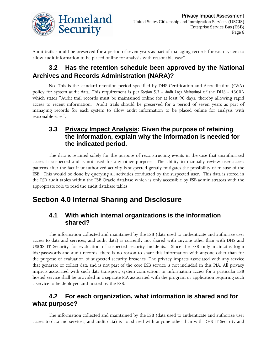

Audit trails should be preserved for a period of seven years as part of managing records for each system to allow audit information to be placed online for analysis with reasonable ease".

## **3.2 Has the retention schedule been approved by the National Archives and Records Administration (NARA)?**

No. This is the standard retention period specified by DHS Certification and Accreditation (C&A) policy for system audit data. This requirement is per *Section 5.3 - Audit Logs Maintained* of the DHS - 4300A which states "Audit trail records must be maintained online for at least 90 days, thereby allowing rapid access to recent information. Audit trails should be preserved for a period of seven years as part of managing records for each system to allow audit information to be placed online for analysis with reasonable ease".

#### **3.3 Privacy Impact Analysis: Given the purpose of retaining the information, explain why the information is needed for the indicated period.**

The data is retained solely for the purpose of reconstructing events in the case that unauthorized access is suspected and is not used for any other purpose. The ability to manually review user access patterns after the fact if unauthorized activity is suspected greatly mitigates the possibility of misuse of the ESB. This would be done by querying all activities conducted by the suspected user. This data is stored in the ESB audit tables within the ESB Oracle database which is only accessible by ESB administrators with the appropriate role to read the audit database tables.

# **Section 4.0 Internal Sharing and Disclosure**

## **4.1 With which internal organizations is the information shared?**

The information collected and maintained by the ESB (data used to authenticate and authorize user access to data and services, and audit data) is currently not shared with anyone other than with DHS and USCIS IT Security for evaluation of suspected security incidents. Since the ESB only maintains login ids/passwords and audit records, there is no reason to share this information with anyone other than for the purpose of evaluation of suspected security breaches. The privacy impacts associated with any service that generate or collect data and is not part of the core ESB service is not included in this PIA. All privacy impacts associated with such data transport, system connection, or information access for a particular ESB hosted service shall be provided in a separate PIA associated with the program or application requiring such a service to be deployed and hosted by the ESB.

## **4.2 For each organization, what information is shared and for what purpose?**

The information collected and maintained by the ESB (data used to authenticate and authorize user access to data and services, and audit data) is not shared with anyone other than with DHS IT Security and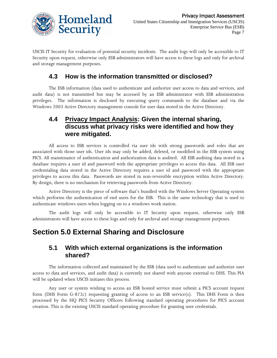

USCIS IT Security for evaluation of potential security incidents. The audit logs will only be accessible to IT Security upon request, otherwise only ESB administrators will have access to these logs and only for archival and storage management purposes.

## **4.3 How is the information transmitted or disclosed?**

The ESB information (data used to authenticate and authorize user access to data and services, and audit data) is not transmitted but may be accessed by an ESB administrator with ESB administration privileges. The information is disclosed by executing query commands to the database and via the Windows 2003 Active Directory management console for user data stored in the Active Directory.

## **4.4 Privacy Impact Analysis: Given the internal sharing, discuss what privacy risks were identified and how they were mitigated.**

All access to ESB services is controlled via user ids with strong passwords and roles that are associated with those user ids. User ids may only be added, deleted, or modified in the ESB system using PICS. All maintenance of authentication and authorization data is audited. All ESB auditing data stored in a database requires a user id and password with the appropriate privileges to access this data. All ESB user credentialing data stored in the Active Directory requires a user id and password with the appropriate privileges to access this data. Passwords are stored in non-reversible encryption within Active Directory. By design, there is no mechanism for retrieving passwords from Active Directory.

Active Directory is the piece of software that's bundled with the Windows Server Operating system which performs the authentication of end users for the ESB. This is the same technology that is used to authenticate windows users when logging on to a windows work station.

The audit logs will only be accessible to IT Security upon request, otherwise only ESB administrators will have access to these logs and only for archival and storage management purposes.

## **Section 5.0 External Sharing and Disclosure**

#### **5.1 With which external organizations is the information shared?**

The information collected and maintained by the ESB (data used to authenticate and authorize user access to data and services, and audit data) is currently not shared with anyone external to DHS. This PIA will be updated when USCIS initiates this process.

Any user or system wishing to access an ESB hosted service must submit a PICS account request form (DHS Form G-872c) requesting granting of access to an ESB service(s). This DHS Form is then processed by the HQ PICS Security Officers following standard operating procedures for PICS account creation. This is the existing USCIS standard operating procedure for granting user credentials.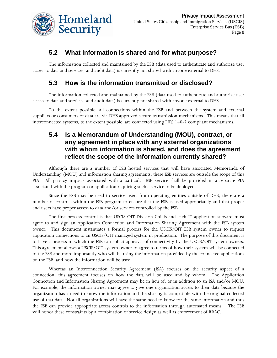

## **5.2 What information is shared and for what purpose?**

The information collected and maintained by the ESB (data used to authenticate and authorize user access to data and services, and audit data) is currently not shared with anyone external to DHS.

## **5.3 How is the information transmitted or disclosed?**

The information collected and maintained by the ESB (data used to authenticate and authorize user access to data and services, and audit data) is currently not shared with anyone external to DHS.

To the extent possible, all connections within the ESB and between the system and external suppliers or consumers of data are via DHS approved secure transmission mechanisms. This means that all interconnected systems, to the extent possible, are connected using FIPS 140-2 compliant mechanisms.

## **5.4 Is a Memorandum of Understanding (MOU), contract, or any agreement in place with any external organizations with whom information is shared, and does the agreement reflect the scope of the information currently shared?**

Although there are a number of ESB hosted services that will have associated Memoranda of Understanding (MOU) and information sharing agreements, these ESB services are outside the scope of this PIA. All privacy impacts associated with a particular ESB service shall be provided in a separate PIA associated with the program or application requiring such a service to be deployed.

Since the ESB may be used to service users from operating entities outside of DHS, there are a number of controls within the ESB program to ensure that the ESB is used appropriately and that proper end users have proper access to data and/or services controlled by the ESB.

The first process control is that USCIS OIT Division Chiefs and each IT application steward must agree to and sign an Application Connection and Information Sharing Agreement with the ESB system owner. This document instantiates a formal process for the USCIS/OIT ESB system owner to request application connections to an USCIS/OIT managed system in production. The purpose of this document is to have a process in which the ESB can solicit approval of connectivity by the USCIS/OIT system owners. This agreement allows a USCIS/OIT system owner to agree to terms of how their system will be connected to the ESB and more importantly who will be using the information provided by the connected applications on the ESB, and how the information will be used.

Whereas an Interconnection Security Agreement (ISA) focuses on the security aspect of a connection, this agreement focuses on how the data will be used and by whom. The Application Connection and Information Sharing Agreement may be in lieu of, or in addition to an ISA and/or MOU. For example, the information owner may agree to give one organization access to their data because the organization has a need to know the information and the sharing is compatible with the original collected use of that data. Not all organizations will have the same need to know for the same information and thus the ESB can provide appropriate access controls to the information through automated means. The ESB will honor these constraints by a combination of service design as well as enforcement of RBAC.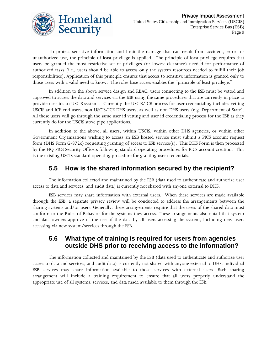

To protect sensitive information and limit the damage that can result from accident, error, or unauthorized use, the principle of least privilege is applied. The principle of least privilege requires that users be granted the most restrictive set of privileges (or lowest clearance) needed for performance of authorized tasks (i.e., users should be able to access only the system resources needed to fulfill their job responsibilities). Application of this principle ensures that access to sensitive information is granted only to those users with a valid need to know. The roles base access enables the "principle of least privilege."

In addition to the above service design and RBAC, users connecting to the ESB must be vetted and approved to access the data and services via the ESB using the same procedures that are currently in place to provide user ids to USCIS systems. Currently the USCIS/ICE process for user credentialing includes vetting USCIS and ICE end users, non USCIS/ICE DHS users, as well as non DHS users (e.g. Department of State). All these users will go through the same user id vetting and user id credentialing process for the ESB as they currently do for the USCIS stove pipe applications.

In addition to the above, all users, within USCIS, within other DHS agencies, or within other Government Organizations wishing to access an ESB hosted service must submit a PICS account request form (DHS Form G-872c) requesting granting of access to ESB service(s). This DHS Form is then processed by the HQ PICS Security Officers following standard operating procedures for PICS account creation. This is the existing USCIS standard operating procedure for granting user credentials.

## **5.5 How is the shared information secured by the recipient?**

The information collected and maintained by the ESB (data used to authenticate and authorize user access to data and services, and audit data) is currently not shared with anyone external to DHS.

ESB services may share information with external users. When these services are made available through the ESB, a separate privacy review will be conducted to address the arrangements between the sharing systems and/or users. Generally, these arrangements require that the users of the shared data must conform to the Rules of Behavior for the systems they access. These arrangements also entail that system and data owners approve of the use of the data by all users accessing the system, including new users accessing via new system/services through the ESB.

## **5.6 What type of training is required for users from agencies outside DHS prior to receiving access to the information?**

The information collected and maintained by the ESB (data used to authenticate and authorize user access to data and services, and audit data) is currently not shared with anyone external to DHS. Individual ESB services may share information available to those services with external users. Each sharing arrangement will include a training requirement to ensure that all users properly understand the appropriate use of all systems, services, and data made available to them through the ESB.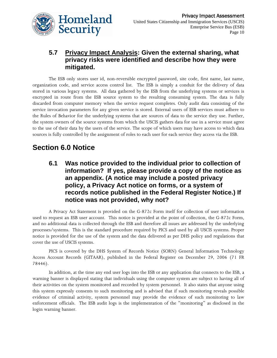

## **5.7 Privacy Impact Analysis: Given the external sharing, what privacy risks were identified and describe how they were mitigated.**

The ESB only stores user id, non-reversible encrypted password, site code, first name, last name, organization code, and service access control list. The ESB is simply a conduit for the delivery of data stored in various legacy systems. All data gathered by the ESB from the underlying systems or services is encrypted in route from the ESB source system to the resulting consuming system. The data is fully discarded from computer memory when the service request completes. Only audit data consisting of the service invocation parameters for any given service is stored. External users of ESB services must adhere to the Rules of Behavior for the underlying systems that are sources of data to the service they use. Further, the system owners of the source systems from which the USCIS gathers data for use in a service must agree to the use of their data by the users of the service. The scope of which users may have access to which data sources is fully controlled by the assignment of roles to each user for each service they access via the ESB.

# **Section 6.0 Notice**

**6.1 Was notice provided to the individual prior to collection of information? If yes, please provide a copy of the notice as an appendix. (A notice may include a posted privacy policy, a Privacy Act notice on forms, or a system of records notice published in the Federal Register Notice.) If notice was not provided, why not?** 

A Privacy Act Statement is provided on the G-872c Form itself for collection of user information used to request an ESB user account. This notice is provided at the point of collection, the G-872c Form, and no additional data is collected through the ESB and therefore all issues are addressed by the underlying processes/systems. This is the standard procedure required by PICS and used by all USCIS systems. Proper notice is provided for the use of the system and the data delivered as per DHS policy and regulations that cover the use of USCIS systems.

PICS is covered by the DHS System of Records Notice (SORN) General Information Technology Access Account Records (GITAAR), published in the Federal Register on December 29, 2006 (71 FR 78446).

In addition, at the time any end user logs into the ESB or any application that connects to the ESB, a warning banner is displayed stating that individuals using the computer system are subject to having all of their activities on the system monitored and recorded by system personnel. It also states that anyone using this system expressly consents to such monitoring and is advised that if such monitoring reveals possible evidence of criminal activity, system personnel may provide the evidence of such monitoring to law enforcement officials. The ESB audit logs is the implementation of the "monitoring" as disclosed in the login warning banner.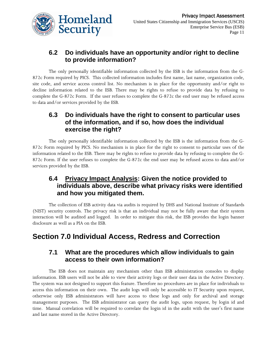

## **6.2 Do individuals have an opportunity and/or right to decline to provide information?**

The only personally identifiable information collected by the ESB is the information from the G-872c Form required by PICS. This collected information includes first name, last name, organization code, site code, and service access control list. No mechanism is in place for the opportunity and/or right to decline information related to the ESB. There may be rights to refuse to provide data by refusing to complete the G-872c Form. If the user refuses to complete the G-872c the end user may be refused access to data and/or services provided by the ESB.

#### **6.3 Do individuals have the right to consent to particular uses of the information, and if so, how does the individual exercise the right?**

The only personally identifiable information collected by the ESB is the information from the G-872c Form required by PICS. No mechanism is in place for the right to consent to particular uses of the information related to the ESB. There may be rights to refuse to provide data by refusing to complete the G-872c Form. If the user refuses to complete the G-872c the end user may be refused access to data and/or services provided by the ESB.

## **6.4 Privacy Impact Analysis: Given the notice provided to individuals above, describe what privacy risks were identified and how you mitigated them.**

The collection of ESB activity data via audits is required by DHS and National Institute of Standards (NIST) security controls. The privacy risk is that an individual may not be fully aware that their system interaction will be audited and logged. In order to mitigate this risk, the ESB provides the login banner disclosure as well as a PIA on the ESB.

# **Section 7.0 Individual Access, Redress and Correction**

#### **7.1 What are the procedures which allow individuals to gain access to their own information?**

The ESB does not maintain any mechanism other than ESB administration consoles to display information. ESB users will not be able to view their activity logs or their user data in the Active Directory. The system was not designed to support this feature. Therefore no procedures are in place for individuals to access this information on their own. The audit logs will only be accessible to IT Security upon request, otherwise only ESB administrators will have access to these logs and only for archival and storage management purposes. The ESB administrator can query the audit logs, upon request, by login id and time. Manual correlation will be required to correlate the login id in the audit with the user's first name and last name stored in the Active Directory.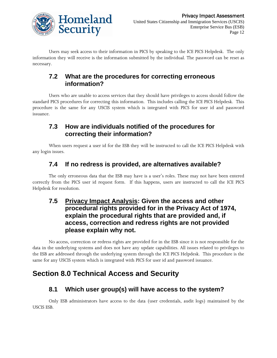

Users may seek access to their information in PICS by speaking to the ICE PICS Helpdesk. The only information they will receive is the information submitted by the individual. The password can be reset as necessary.

## **7.2 What are the procedures for correcting erroneous information?**

Users who are unable to access services that they should have privileges to access should follow the standard PICS procedures for correcting this information. This includes calling the ICE PICS Helpdesk. This procedure is the same for any USCIS system which is integrated with PICS for user id and password issuance.

#### **7.3 How are individuals notified of the procedures for correcting their information?**

When users request a user id for the ESB they will be instructed to call the ICE PICS Helpdesk with any login issues.

## **7.4 If no redress is provided, are alternatives available?**

The only erroneous data that the ESB may have is a user's roles. These may not have been entered correctly from the PICS user id request form. If this happens, users are instructed to call the ICE PICS Helpdesk for resolution.

## **7.5 Privacy Impact Analysis: Given the access and other procedural rights provided for in the Privacy Act of 1974, explain the procedural rights that are provided and, if access, correction and redress rights are not provided please explain why not.**

No access, correction or redress rights are provided for in the ESB since it is not responsible for the data in the underlying systems and does not have any update capabilities. All issues related to privileges to the ESB are addressed through the underlying system through the ICE PICS Helpdesk. This procedure is the same for any USCIS system which is integrated with PICS for user id and password issuance.

# **Section 8.0 Technical Access and Security**

## **8.1 Which user group(s) will have access to the system?**

Only ESB administrators have access to the data (user credentials, audit logs) maintained by the USCIS ESB.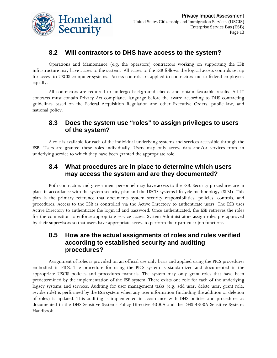

## **8.2 Will contractors to DHS have access to the system?**

Operations and Maintenance (e.g. the operators) contractors working on supporting the ESB infrastructure may have access to the system. All access to the ESB follows the logical access controls set up for access to USCIS computer systems. Access controls are applied to contractors and to federal employees equally.

All contractors are required to undergo background checks and obtain favorable results. All IT contracts must contain Privacy Act compliance language before the award according to DHS contracting guidelines based on the Federal Acquisition Regulation and other Executive Orders, public law, and national policy.

## **8.3 Does the system use "roles" to assign privileges to users of the system?**

A role is available for each of the individual underlying systems and services accessible through the ESB. Users are granted these roles individually. Users may only access data and/or services from an underlying service to which they have been granted the appropriate role.

## **8.4 What procedures are in place to determine which users may access the system and are they documented?**

Both contractors and government personnel may have access to the ESB. Security procedures are in place in accordance with the system security plan and the USCIS systems lifecycle methodology (SLM). This plan is the primary reference that documents system security responsibilities, policies, controls, and procedures. Access to the ESB is controlled via the Active Directory to authenticate users. The ESB uses Active Directory to authenticate the login id and password. Once authenticated, the ESB retrieves the roles for the connection to enforce appropriate service access. System Administrators assign roles pre-approved by their supervisors so that users have appropriate access to perform their particular job functions.

## **8.5 How are the actual assignments of roles and rules verified according to established security and auditing procedures?**

Assignment of roles is provided on an official use only basis and applied using the PICS procedures embodied in PICS. The procedure for using the PICS system is standardized and documented in the appropriate USCIS policies and procedures manuals. The system may only grant roles that have been predetermined by the implementation of the ESB system. There exists one role for each of the underlying legacy systems and services. Auditing for user management tasks (e.g. add user, delete user, grant role, revoke role) is performed by the ESB system when any user information (including the addition or deletion of roles) is updated. This auditing is implemented in accordance with DHS policies and procedures as documented in the DHS Sensitive Systems Policy Directive 4300A and the DHS 4300A Sensitive Systems Handbook.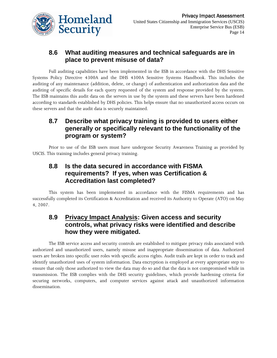

## **8.6 What auditing measures and technical safeguards are in place to prevent misuse of data?**

Full auditing capabilities have been implemented in the ESB in accordance with the DHS Sensitive Systems Policy Directive 4300A and the DHS 4300A Sensitive Systems Handbook. This includes the auditing of any maintenance (addition, delete, or change) of authentication and authorization data and the auditing of specific details for each query requested of the system and response provided by the system. The ESB maintains this audit data on the servers in use by the system and these servers have been hardened according to standards established by DHS policies. This helps ensure that no unauthorized access occurs on these servers and that the audit data is securely maintained.

## **8.7 Describe what privacy training is provided to users either generally or specifically relevant to the functionality of the program or system?**

Prior to use of the ESB users must have undergone Security Awareness Training as provided by USCIS. This training includes general privacy training.

## **8.8 Is the data secured in accordance with FISMA requirements? If yes, when was Certification & Accreditation last completed?**

This system has been implemented in accordance with the FISMA requirements and has successfully completed its Certification & Accreditation and received its Authority to Operate (ATO) on May 4, 2007.

## **8.9 Privacy Impact Analysis: Given access and security controls, what privacy risks were identified and describe how they were mitigated.**

The ESB service access and security controls are established to mitigate privacy risks associated with authorized and unauthorized users, namely misuse and inappropriate dissemination of data. Authorized users are broken into specific user roles with specific access rights. Audit trails are kept in order to track and identify unauthorized uses of system information. Data encryption is employed at every appropriate step to ensure that only those authorized to view the data may do so and that the data is not compromised while in transmission. The ESB complies with the DHS security guidelines, which provide hardening criteria for securing networks, computers, and computer services against attack and unauthorized information dissemination.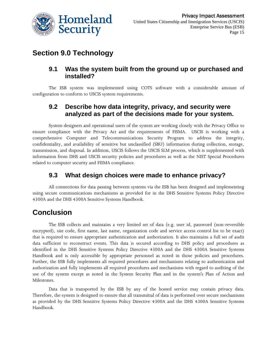

# **Section 9.0 Technology**

#### **9.1 Was the system built from the ground up or purchased and installed?**

The ESB system was implemented using COTS software with a considerable amount of configuration to conform to USCIS system requirements.

## **9.2 Describe how data integrity, privacy, and security were analyzed as part of the decisions made for your system.**

System designers and operational users of the system are working closely with the Privacy Office to ensure compliance with the Privacy Act and the requirements of FISMA. USCIS is working with a comprehensive Computer and Telecommunications Security Program to address the integrity, confidentiality, and availability of sensitive but unclassified (SBU) information during collection, storage, transmission, and disposal. In addition, USCIS follows the USCIS SLM process, which is supplemented with information from DHS and USCIS security policies and procedures as well as the NIST Special Procedures related to computer security and FISMA compliance.

## **9.3 What design choices were made to enhance privacy?**

All connections for data passing between systems via the ESB has been designed and implementing using secure communications mechanisms as provided for in the DHS Sensitive Systems Policy Directive 4300A and the DHS 4300A Sensitive Systems Handbook.

# **Conclusion**

The ESB collects and maintains a very limited set of data (e.g. user id, password (non-reversible encrypted), site code, first name, last name, organization code and service access control list to be exact) that is required to ensure appropriate authentication and authorization. It also maintains a full set of audit data sufficient to reconstruct events. This data is secured according to DHS policy and procedures as identified in the DHS Sensitive Systems Policy Directive 4300A and the DHS 4300A Sensitive Systems Handbook and is only accessible by appropriate personnel as noted in those policies and procedures. Further, the ESB fully implements all required procedures and mechanisms relating to authentication and authorization and fully implements all required procedures and mechanisms with regard to auditing of the use of the system except as noted in the System Security Plan and in the system's Plan of Action and Milestones.

Data that is transported by the ESB by any of the hosted service may contain privacy data. Therefore, the system is designed to ensure that all transmittal of data is performed over secure mechanisms as provided by the DHS Sensitive Systems Policy Directive 4300A and the DHS 4300A Sensitive Systems Handbook.